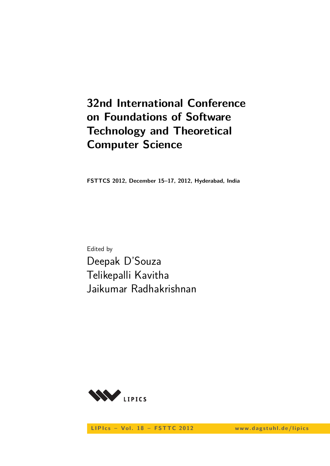# **32nd International Conference on Foundations of Software Technology and Theoretical Computer Science**

**FSTTCS 2012, December 15–17, 2012, Hyderabad, India**

Edited by Deepak D'Souza Telikepalli Kavitha Jaikumar Radhakrishnan



LIPIcs - Vol. 18 - FSTTC 2012 www.dagstuhl.de/lipics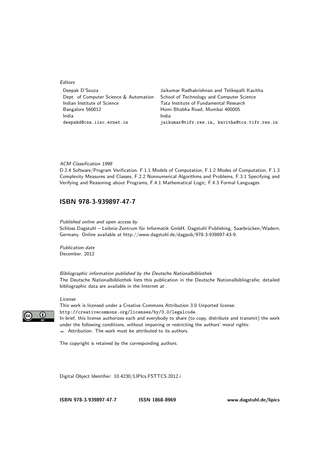#### Editors

| Deepak D'Souza                         | Jaikumar Radhakrishnan and Telikepalli Kavitha |
|----------------------------------------|------------------------------------------------|
| Dept. of Computer Science & Automation | School of Technology and Computer Science      |
| Indian Institute of Science            | Tata Institute of Fundamental Research         |
| Bangalore 560012                       | Homi Bhabha Road, Mumbai 400005                |
| India                                  | India                                          |
| deepakd@csa.iisc.ernet.in              | jaikumar@tifr.res.in, kavitha@tcs.tifr.res.in  |

#### ACM Classification 1998

D.2.4 Software/Program Verification, F.1.1 Models of Computation, F.1.2 Modes of Computation, F.1.3 Complexity Measures and Classes, F.2.2 Nonnumerical Algorithms and Problems, F.3.1 Specifying and Verifying and Reasoning about Programs, F.4.1 Mathematical Logic, F.4.3 Formal Languages

#### **ISBN [978-3-939897-47-7](http://www.dagstuhl.de/dagpub/978-3-939897-47-7)**

Published online and open access by

Schloss Dagstuhl – Leibniz-Zentrum für Informatik GmbH, Dagstuhl Publishing, Saarbrücken/Wadern, Germany. Online available at [http://www.dagstuhl.de/dagpub/978-3-939897-43-9.](http://www.dagstuhl.de/dagpub/978-3-939897-43-9)

Publication date December, 2012

Bibliographic information published by the Deutsche Nationalbibliothek The Deutsche Nationalbibliothek lists this publication in the Deutsche Nationalbibliografie; detailed bibliographic data are available in the Internet at [.](http://dnb.d-nb.de)

#### License



This work is licensed under a Creative Commons Attribution 3.0 Unported license: <http://creativecommons.org/licenses/by/3.0/legalcode>. In brief, this license authorizes each and everybody to share (to copy, distribute and transmit) the work under the following conditions, without impairing or restricting the authors' moral rights:

Attribution: The work must be attributed to its authors.

The copyright is retained by the corresponding authors.

Digital Object Identifier: [10.4230/LIPIcs.FSTTCS.2012.i](http://dx.doi.org/10.4230/LIPIcs.FSTTCS.2012.i)

**ISBN [978-3-939897-47-7](http://www.dagstuhl.de/dagpub/978-3-939897-47-7) ISSN [1868-8969](http://drops.dagstuhl.de/lipics) [www.dagstuhl.de/lipics](http://www.dagstuhl.de/lipics)**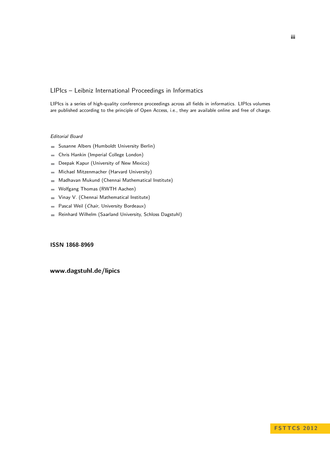#### LIPIcs – Leibniz International Proceedings in Informatics

LIPIcs is a series of high-quality conference proceedings across all fields in informatics. LIPIcs volumes are published according to the principle of Open Access, i.e., they are available online and free of charge.

#### Editorial Board

- Susanne Albers (Humboldt University Berlin)
- Chris Hankin (Imperial College London)  $\equiv$
- Deepak Kapur (University of New Mexico)  $\blacksquare$
- Michael Mitzenmacher (Harvard University)  $\equiv$
- Madhavan Mukund (Chennai Mathematical Institute)  $\sim$
- Wolfgang Thomas (RWTH Aachen)  $\blacksquare$
- Vinay V. (Chennai Mathematical Institute)  $\blacksquare$
- Pascal Weil (Chair, University Bordeaux)  $\blacksquare$
- Reinhard Wilhelm (Saarland University, Schloss Dagstuhl)  $\blacksquare$

#### **[ISSN 1868-8969](http://drops.dagstuhl.de/lipics)**

#### **[www.dagstuhl.de/lipics](http://www.dagstuhl.de/lipics)**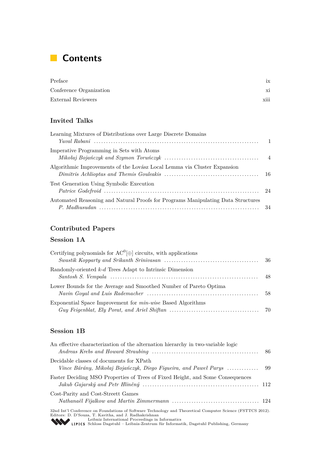## **Contents**

| Preface                 |      |
|-------------------------|------|
| Conference Organization | X1   |
| External Reviewers      | xiii |

## **Invited Talks**

| Learning Mixtures of Distributions over Large Discrete Domains                   |  |
|----------------------------------------------------------------------------------|--|
|                                                                                  |  |
| Imperative Programming in Sets with Atoms                                        |  |
| Algorithmic Improvements of the Lovász Local Lemma via Cluster Expansion         |  |
| Test Generation Using Symbolic Execution                                         |  |
| Automated Reasoning and Natural Proofs for Programs Manipulating Data Structures |  |

### **Contributed Papers**

### **Session 1A**

| Certifying polynomials for $AC^0[\oplus]$ circuits, with applications |  |
|-----------------------------------------------------------------------|--|
| Randomly-oriented $k-d$ Trees Adapt to Intrinsic Dimension            |  |
| Lower Bounds for the Average and Smoothed Number of Pareto Optima     |  |
| Exponential Space Improvement for <i>min-wise</i> Based Algorithms    |  |

### **Session 1B**

| An effective characterization of the alternation hierarchy in two-variable logic                                                                                                                                                    |  |
|-------------------------------------------------------------------------------------------------------------------------------------------------------------------------------------------------------------------------------------|--|
| Decidable classes of documents for XPath                                                                                                                                                                                            |  |
| Faster Deciding MSO Properties of Trees of Fixed Height, and Some Consequences                                                                                                                                                      |  |
| Cost-Parity and Cost-Streett Games                                                                                                                                                                                                  |  |
| 32nd Int'l Conference on Foundations of Software Technology and Theoretical Computer Science (FSTTCS 2012).<br>Editors: D. D'Souza, T. Kavitha, and J. Radhakrishnan<br><b>ALL</b> Leibniz International Proceedings in Informatics |  |

[Leibniz International Proceedings in Informatics](http://www.dagstuhl.de/en/publications/lipics/) [Schloss Dagstuhl – Leibniz-Zentrum für Informatik, Dagstuhl Publishing, Germany](http://www.dagstuhl.de/en/about-dagstuhl/)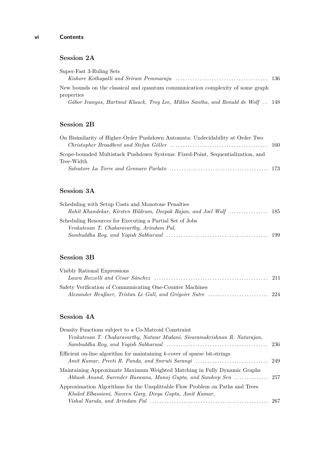#### **Session 2A**

| Super-Fast 3-Ruling Sets                                                                     |  |
|----------------------------------------------------------------------------------------------|--|
|                                                                                              |  |
| New bounds on the classical and quantum communication complexity of some graph<br>properties |  |
| Gábor Ivanyos, Hartmut Klauck, Troy Lee, Miklos Santha, and Ronald de Wolf 148               |  |

### **Session 2B**

| On Bisimilarity of Higher-Order Pushdown Automata: Undecidability at Order Two |  |
|--------------------------------------------------------------------------------|--|
|                                                                                |  |
| Scope-bounded Multistack Pushdown Systems: Fixed-Point, Sequentialization, and |  |
| Tree-Width                                                                     |  |
|                                                                                |  |

#### **Session 3A**

| Scheduling with Setup Costs and Monotone Penalties       |  |
|----------------------------------------------------------|--|
|                                                          |  |
| Scheduling Resources for Executing a Partial Set of Jobs |  |
| Venkatesan T. Chakaravarthy, Arindam Pal,                |  |
|                                                          |  |

### **Session 3B**

| Visibly Rational Expressions                              |  |
|-----------------------------------------------------------|--|
|                                                           |  |
| Safety Verification of Communicating One-Counter Machines |  |
|                                                           |  |

#### **Session 4A**

| Density Functions subject to a Co-Matroid Constraint                          |  |
|-------------------------------------------------------------------------------|--|
| Venkatesan T. Chakaravarthy, Natwar Modani, Sivaramakrishnan R. Natarajan,    |  |
|                                                                               |  |
| Efficient on-line algorithm for maintaining $k$ -cover of sparse bit-strings  |  |
|                                                                               |  |
| Maintaining Approximate Maximum Weighted Matching in Fully Dynamic Graphs     |  |
| Approximation Algorithms for the Unsplittable Flow Problem on Paths and Trees |  |
| Khaled Elbassioni, Naveen Garg, Divya Gupta, Amit Kumar,                      |  |
|                                                                               |  |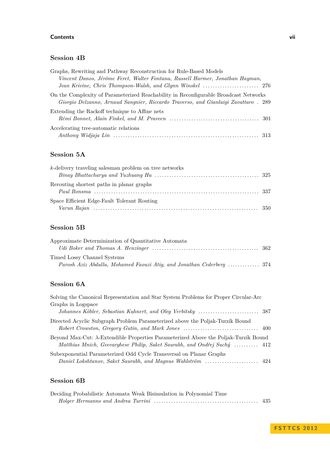#### **Contents vii**

#### **Session 4B**

| Graphs, Rewriting and Pathway Reconstruction for Rule-Based Models                   |  |
|--------------------------------------------------------------------------------------|--|
| Vincent Danos, Jérôme Feret, Walter Fontana, Russell Harmer, Jonathan Hayman,        |  |
|                                                                                      |  |
| On the Complexity of Parameterized Reachability in Reconfigurable Broadcast Networks |  |
| Giorgio Delzanno, Arnaud Sangnier, Riccardo Traverso, and Gianluigi Zavattaro. 289   |  |
| Extending the Rackoff technique to Affine nets                                       |  |
|                                                                                      |  |
| Accelerating tree-automatic relations                                                |  |
|                                                                                      |  |

### **Session 5A**

| $k$ -delivery traveling salesman problem on tree networks |  |
|-----------------------------------------------------------|--|
|                                                           |  |
| Reporting shortest paths in planar graphs                 |  |
| Space Efficient Edge-Fault Tolerant Routing               |  |

### **Session 5B**

| Approximate Determinization of Quantitative Automata                  |  |
|-----------------------------------------------------------------------|--|
|                                                                       |  |
| Timed Lossy Channel Systems                                           |  |
| Parosh Aziz Abdulla, Mohamed Faouzi Atig, and Jonathan Cederberg  374 |  |

### **Session 6A**

| Solving the Canonical Representation and Star System Problems for Proper Circular-Arc                                                                                    |  |
|--------------------------------------------------------------------------------------------------------------------------------------------------------------------------|--|
| Graphs in Logspace                                                                                                                                                       |  |
|                                                                                                                                                                          |  |
| Directed Acyclic Subgraph Problem Parameterized above the Poljak-Turzík Bound                                                                                            |  |
| Beyond Max-Cut: $\lambda$ -Extendible Properties Parameterized Above the Poljak-Turzík Bound<br>Matthias Mnich, Geevarghese Philip, Saket Saurabh, and Ondřej Suchý  412 |  |
| Subexponential Parameterized Odd Cycle Transversal on Planar Graphs                                                                                                      |  |

## **Session 6B**

| Deciding Probabilistic Automata Weak Bisimulation in Polynomial Time |  |
|----------------------------------------------------------------------|--|
|                                                                      |  |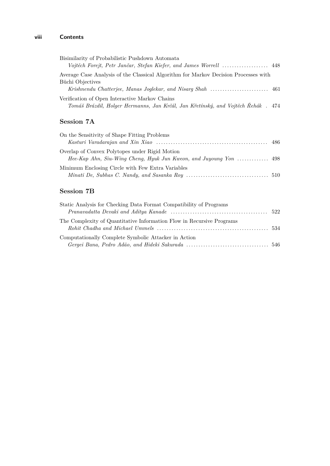#### **viii Contents**

| Bisimilarity of Probabilistic Pushdown Automata                                     |  |
|-------------------------------------------------------------------------------------|--|
|                                                                                     |  |
| Average Case Analysis of the Classical Algorithm for Markov Decision Processes with |  |
| Büchi Objectives                                                                    |  |
|                                                                                     |  |
| Verification of Open Interactive Markov Chains                                      |  |
| Tomáš Brázdil, Holger Hermanns, Jan Krčál, Jan Křetínský, and Vojtěch Řehák . 474   |  |

### **Session 7A**

| On the Sensitivity of Shape Fitting Problems                                                                                                 |  |
|----------------------------------------------------------------------------------------------------------------------------------------------|--|
|                                                                                                                                              |  |
| Overlap of Convex Polytopes under Rigid Motion<br>$Hee-Kap Ahn$ , Siu-Wing Cheng, Hyuk Jun Kweon, and Juyoung Yon $\ldots \ldots \ldots$ 498 |  |
| Minimum Enclosing Circle with Few Extra Variables                                                                                            |  |

## **Session 7B**

| Static Analysis for Checking Data Format Compatibility of Programs    |  |
|-----------------------------------------------------------------------|--|
|                                                                       |  |
| The Complexity of Quantitative Information Flow in Recursive Programs |  |
| Computationally Complete Symbolic Attacker in Action                  |  |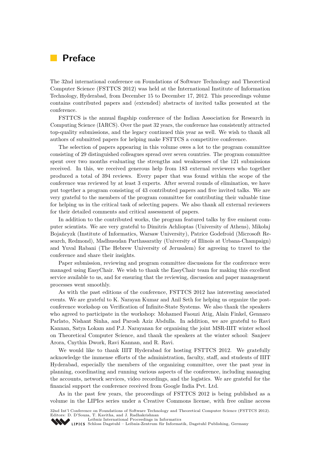## **Preface**

The 32nd international conference on Foundations of Software Technology and Theoretical Computer Science (FSTTCS 2012) was held at the International Institute of Information Technology, Hyderabad, from December 15 to December 17, 2012. This proceedings volume contains contributed papers and (extended) abstracts of invited talks presented at the conference.

FSTTCS is the annual flagship conference of the Indian Association for Research in Computing Science (IARCS). Over the past 32 years, the conference has consistently attracted top-quality submissions, and the legacy continued this year as well. We wish to thank all authors of submitted papers for helping make FSTTCS a competitive conference.

The selection of papers appearing in this volume owes a lot to the program committee consisting of 29 distinguished colleagues spread over seven countries. The program committee spent over two months evaluating the strengths and weaknesses of the 121 submissions received. In this, we received generous help from 183 external reviewers who together produced a total of 394 reviews. Every paper that was found within the scope of the conference was reviewed by at least 3 experts. After several rounds of elimination, we have put together a program consisting of 43 contributed papers and five invited talks. We are very grateful to the members of the program committee for contributing their valuable time for helping us in the critical task of selecting papers. We also thank all external reviewers for their detailed comments and critical assessment of papers.

In addition to the contributed works, the program featured talks by five eminent computer scientists. We are very grateful to Dimitris Achlioptas (University of Athens), Mikołaj Bojañcyzk (Institute of Informatics, Warsaw University), Patrice Godefroid (Microsoft Research, Redmond), Madhusudan Parthasarathy (University of Illinois at Urbana-Champaign) and Yuval Rabani (The Hebrew University of Jerusalem) for agreeing to travel to the conference and share their insights.

Paper submission, reviewing and program committee discussions for the conference were managed using EasyChair. We wish to thank the EasyChair team for making this excellent service available to us, and for ensuring that the reviewing, discussion and paper management processes went smoothly.

As with the past editions of the conference, FSTTCS 2012 has interesting associated events. We are grateful to K. Narayan Kumar and Anil Seth for helping us organize the postconference workshop on Verification of Infinite-State Systems. We also thank the speakers who agreed to participate in the workshop: Mohamed Faouzi Atig, Alain Finkel, Gennaro Parlato, Nishant Sinha, and Parosh Aziz Abdulla. In addition, we are grateful to Ravi Kannan, Satya Lokam and P.J. Narayanan for organising the joint MSR-IIIT winter school on Theoretical Computer Science, and thank the speakers at the winter school: Sanjeev Arora, Cnythia Dwork, Ravi Kannan, and R. Ravi.

We would like to thank IIIT Hyderabad for hosting FSTTCS 2012. We gratefully acknowledge the immense efforts of the administration, faculty, staff, and students of IIIT Hyderabad, especially the members of the organizing committee, over the past year in planning, coordinating and running various aspects of the conference, including managing the accounts, network services, video recordings, and the logistics. We are grateful for the financial support the conference received from Google India Pvt. Ltd.

As in the past few years, the proceedings of FSTTCS 2012 is being published as a volume in the LIPIcs series under a Creative Commons license, with free online access

32nd Int'l Conference on Foundations of Software Technology and Theoretical Computer Science (FSTTCS 2012). Editors: D. D'Souza, T. Kavitha, and J. Radhakrishnan

[Leibniz International Proceedings in Informatics](http://www.dagstuhl.de/en/publications/lipics/)

[Schloss Dagstuhl – Leibniz-Zentrum für Informatik, Dagstuhl Publishing, Germany](http://www.dagstuhl.de/en/about-dagstuhl/)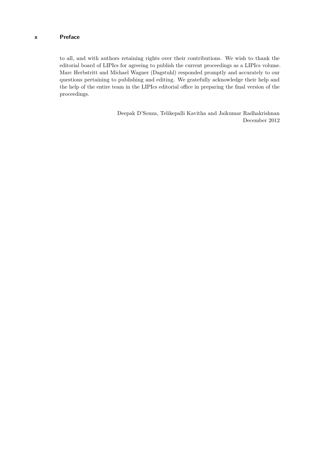to all, and with authors retaining rights over their contributions. We wish to thank the editorial board of LIPIcs for agreeing to publish the current proceedings as a LIPIcs volume. Marc Herbstritt and Michael Wagner (Dagstuhl) responded promptly and accurately to our questions pertaining to publishing and editing. We gratefully acknowledge their help and the help of the entire team in the LIPIcs editorial office in preparing the final version of the proceedings.

> Deepak D'Souza, Telikepalli Kavitha and Jaikumar Radhakrishnan December 2012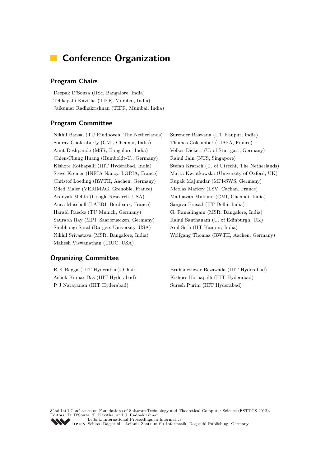## **Conference Organization**

#### **Program Chairs**

Deepak D'Souza (IISc, Bangalore, India) Telikepalli Kavitha (TIFR, Mumbai, India) Jaikumar Radhakrishnan (TIFR, Mumbai, India)

#### **Program Committee**

Nikhil Bansal (TU Eindhoven, The Netherlands) Surender Baswana (IIT Kanpur, India) Sourav Chakraborty (CMI, Chennai, India) Thomas Colcombet (LIAFA, France) Amit Deshpande (MSR, Bangalore, India) Volker Diekert (U. of Stuttgart, Germany) Chien-Chung Huang (Humboldt-U., Germany) Rahul Jain (NUS, Singapore) Christof Loeding (RWTH, Aachen, Germany) Rupak Majumdar (MPI-SWS, Germany) Oded Maler (VERIMAG, Grenoble, France) Nicolas Markey (LSV, Cachan, France) Aranyak Mehta (Google Research, USA) Madhavan Mukund (CMI, Chennai, India) Anca Muscholl (LABRI, Bordeaux, France) Sanjiva Prasad (IIT Delhi, India) Harald Raecke (TU Munich, Germany) G. Ramalingam (MSR, Bangalore, India) Saurabh Ray (MPI, Saarbruecken, Germany) Rahul Santhanam (U. of Edinburgh, UK) Shubhangi Saraf (Rutgers University, USA) Anil Seth (IIT Kanpur, India) Nikhil Srivastava (MSR, Bangalore, India) Wolfgang Thomas (RWTH, Aachen, Germany) Mahesh Viswanathan (UIUC, USA)

#### **Organizing Committee**

Ashok Kumar Das (IIIT Hyderabad) Kishore Kothapalli (IIIT Hyderabad) P J Narayanan (IIIT Hyderabad) Suresh Purini (IIIT Hyderabad)

Kishore Kothapalli (IIIT Hyderabad, India) Stefan Kratsch (U. of Utrecht, The Netherlands) Steve Kremer (INRIA Nancy, LORIA, France) Marta Kwiatkowska (University of Oxford, UK)

R K Bagga (IIIT Hyderabad), Chair Bruhadeshwar Bezawada (IIIT Hyderabad)

32nd Int'l Conference on Foundations of Software Technology and Theoretical Computer Science (FSTTCS 2012). Editors: D. D'Souza, T. Kavitha, and J. Radhakrishnan [Leibniz International Proceedings in Informatics](http://www.dagstuhl.de/en/publications/lipics/) [Schloss Dagstuhl – Leibniz-Zentrum für Informatik, Dagstuhl Publishing, Germany](http://www.dagstuhl.de/en/about-dagstuhl/)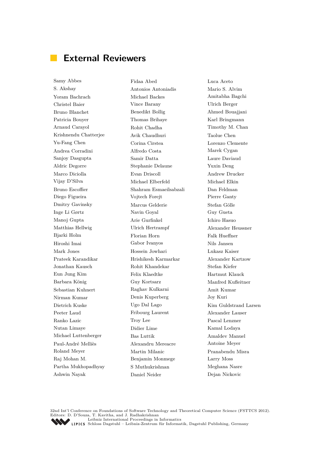## **External Reviewers**

S. Akshay Antonios Antoniadis Mario S. Alvim Yoram Bachrach Michael Backes Amitabha Bagchi Christel Baier Vince Barany Ulrich Berger Bruno Blanchet Benedikt Bollig Ahmed Bouajjani Patricia Bouyer Thomas Brihaye Karl Bringmann Arnaud Carayol Rohit Chadha Timothy M. Chan Krishnendu Chatterjee Avik Chaudhuri Taolue Chen Yu-Fang Chen Corina Cirstea Lorenzo Clemente Andrea Corradini Alfredo Costa Marek Cygan Sanjoy Dasgupta Samir Datta Laure Daviaud Aldric Degorre Stephanie Delaune Yuxin Deng Marco Diciolla Evan Driscoll Andrew Drucker Vijay D'Silva Michael Elberfeld Michael Elkin Bruno Escoffier Shahram Esmaeilsabzali Dan Feldman Diego Figueira Vojtech Forejt Pierre Ganty Dmitry Gavinsky Marcus Gelderie Stefan Gölle Inge Li Gørtz Navin Goyal Guy Gueta Manoj Gupta  $\qquad$  Arie Gurfinkel Ichiro Hasuo Matthias Hellwig Ulrich Hertrampf Alexander Heussner Bjarki Holm Florian Horn Falk Hueffner Hiroshi Imai Gabor Ivanyos Nils Jansen Mark Jones Hossein Jowhari Lukasz Kaiser Prateek Karandikar Hrishikesh Karmarkar Alexander Kartzow Jonathan Kausch Rohit Khandekar Stefan Kiefer Eun Jung Kim Felix Klaedtke Hartmut Klauck Barbara König Guy Kortsarz Manfred Kufleitner Sebastian Kuhnert Raghav Kulkarni Amit Kumar Nirman Kumar Denis Kuperberg Joy Kuri Dietrich Kuske Ugo Dal Lago Kim Guldstrand Larsen Peeter Laud Fribourg Laurent Alexander Lauser Ranko Lazic Troy Lee Pascal Lenzner Nutan Limaye Didier Lime Kamal Lodaya Michael Luttenberger Bas Luttik Amaldev Manuel Paul-André Melliès Alexandru Mereacre Antoine Meyer Roland Meyer Martin Milanic Pranabendu Misra Raj Mohan M. Benjamin Monmege Larry Moss Partha Mukhopadhyay S Muthukrishnan Meghana Nasre Ashwin Nayak Daniel Neider Dejan Nickovic

Samy Abbes Fidaa Abed Luca Aceto

32nd Int'l Conference on Foundations of Software Technology and Theoretical Computer Science (FSTTCS 2012). Editors: D. D'Souza, T. Kavitha, and J. Radhakrishnan [Leibniz International Proceedings in Informatics](http://www.dagstuhl.de/en/publications/lipics/) [Schloss Dagstuhl – Leibniz-Zentrum für Informatik, Dagstuhl Publishing, Germany](http://www.dagstuhl.de/en/about-dagstuhl/)